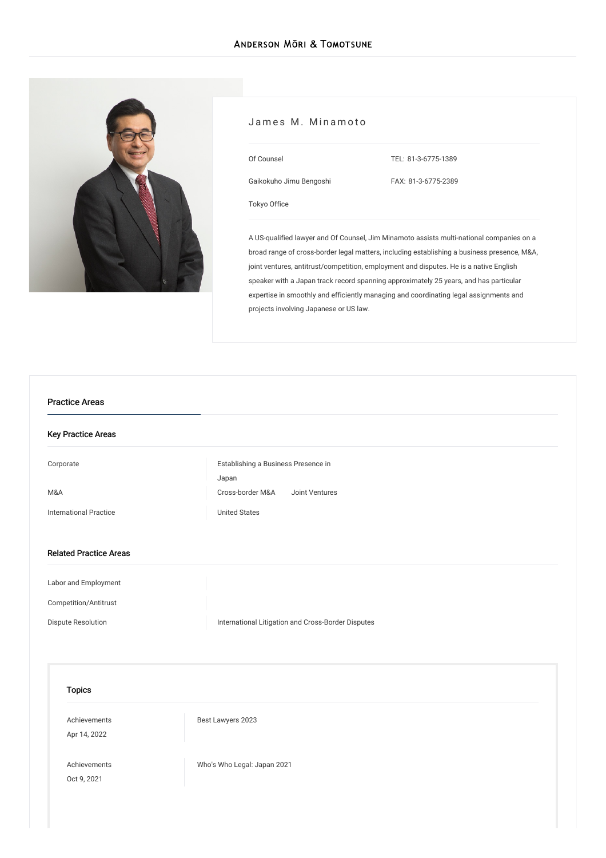

#### James M. Minamoto

Gaikokuho Jimu Bengoshi

TEL: [81-3-6775-1389](tel:81-3-6775-1389)

FAX: 81-3-6775-2389

[Tokyo](/en/locations/tokyo) Office

Of Counsel

A US-qualified lawyer and Of Counsel, Jim Minamoto assists multi-national companies on a broad range of cross-border legal matters, including establishing a business presence, M&A, joint ventures, antitrust/competition, employment and disputes. He is a native English speaker with a Japan track record spanning approximately 25 years, and has particular expertise in smoothly and efficiently managing and coordinating legal assignments and projects involving Japanese or US law.

# Key Practice Areas [Corporate](/en/services/practices/corporate) [Establishing](/en/services/practices/corporate/establishing_a_business_presence_in_japan) a Business Presence in Japan [M&A](/en/services/practices/mergers-and-acquisitions) [Cross-border](/en/services/practices/mergers-and-acquisitions/cross-border-mergers-and-acquisitions) M&A Joint [Ventures](/en/services/practices/mergers-and-acquisitions/joint-ventures) [International](/en/services/practices/international-practice) Practice **Victor** Controllering [United](/en/services/practices/international-practice/us) States Related Practice Areas Labor and [Employment](/en/services/practices/labor-and-employment) [Competition/Antitrust](/en/services/practices/competition_antitrust) Dispute [Resolution](/en/services/practices/dispute-resolution) **International Litigation and [Cross-Border](/en/services/practices/dispute-resolution/international-litigation-and-cross-border-disputes) Disputes** Topics [Achievements](/en/news/achievements/) Apr 14, 2022 Best [Lawyers](/en/news/detail/news_0024840_en_001) 2023 [Achievements](/en/news/achievements/) Oct 9, 2021 Who's Who Legal: [Japan](/en/news/detail/news_0023837_en_001) 2021 Practice Areas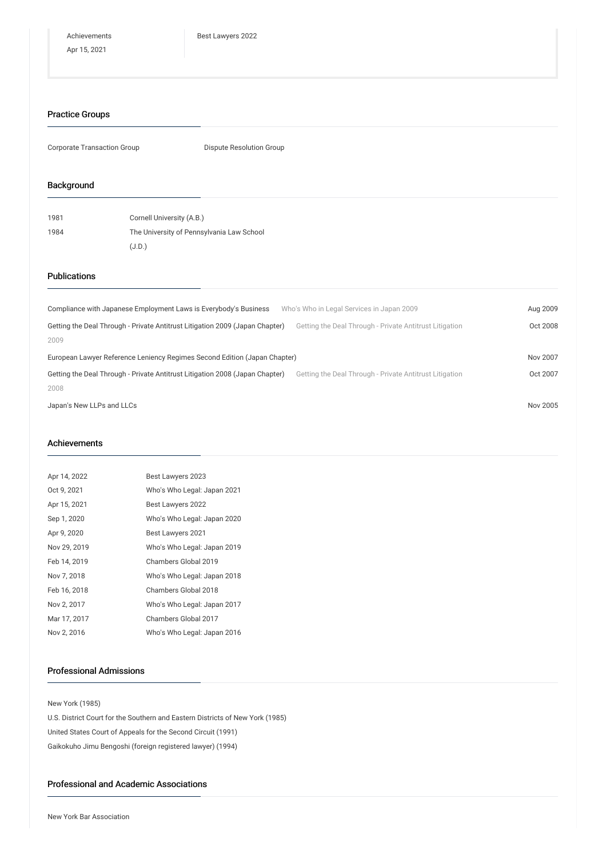#### Practice Groups

Corporate Transaction Group **Dispute Resolution Group** 

### Background

| 1981 | Cornell University (A.B.)                 |
|------|-------------------------------------------|
| 1984 | The University of Pennsylvania Law School |
|      | (J.D.)                                    |

## Publications

| Compliance with Japanese Employment Laws is Everybody's Business<br>Getting the Deal Through - Private Antitrust Litigation 2009 (Japan Chapter)<br>2009  | Who's Who in Legal Services in Japan 2009<br>Getting the Deal Through - Private Antitrust Litigation | Aug 2009<br>Oct 2008 |
|-----------------------------------------------------------------------------------------------------------------------------------------------------------|------------------------------------------------------------------------------------------------------|----------------------|
| European Lawyer Reference Leniency Regimes Second Edition (Japan Chapter)<br>Getting the Deal Through - Private Antitrust Litigation 2008 (Japan Chapter) | Getting the Deal Through - Private Antitrust Litigation                                              | Nov 2007<br>Oct 2007 |
| 2008<br>Japan's New LLPs and LLCs                                                                                                                         |                                                                                                      | Nov 2005             |

#### Achievements

| Apr 14, 2022 | Best Lawyers 2023           |
|--------------|-----------------------------|
| Oct 9, 2021  | Who's Who Legal: Japan 2021 |
| Apr 15, 2021 | Best Lawyers 2022           |
| Sep 1, 2020  | Who's Who Legal: Japan 2020 |
| Apr 9, 2020  | Best Lawyers 2021           |
| Nov 29, 2019 | Who's Who Legal: Japan 2019 |
| Feb 14, 2019 | Chambers Global 2019        |
| Nov 7, 2018  | Who's Who Legal: Japan 2018 |
| Feb 16, 2018 | Chambers Global 2018        |
| Nov 2, 2017  | Who's Who Legal: Japan 2017 |
| Mar 17, 2017 | Chambers Global 2017        |
| Nov 2, 2016  | Who's Who Legal: Japan 2016 |

## Professional Admissions

New York (1985)

U.S. District Court for the Southern and Eastern Districts of New York (1985) United States Court of Appeals for the Second Circuit (1991) Gaikokuho Jimu Bengoshi (foreign registered lawyer) (1994)

### Professional and Academic Associations